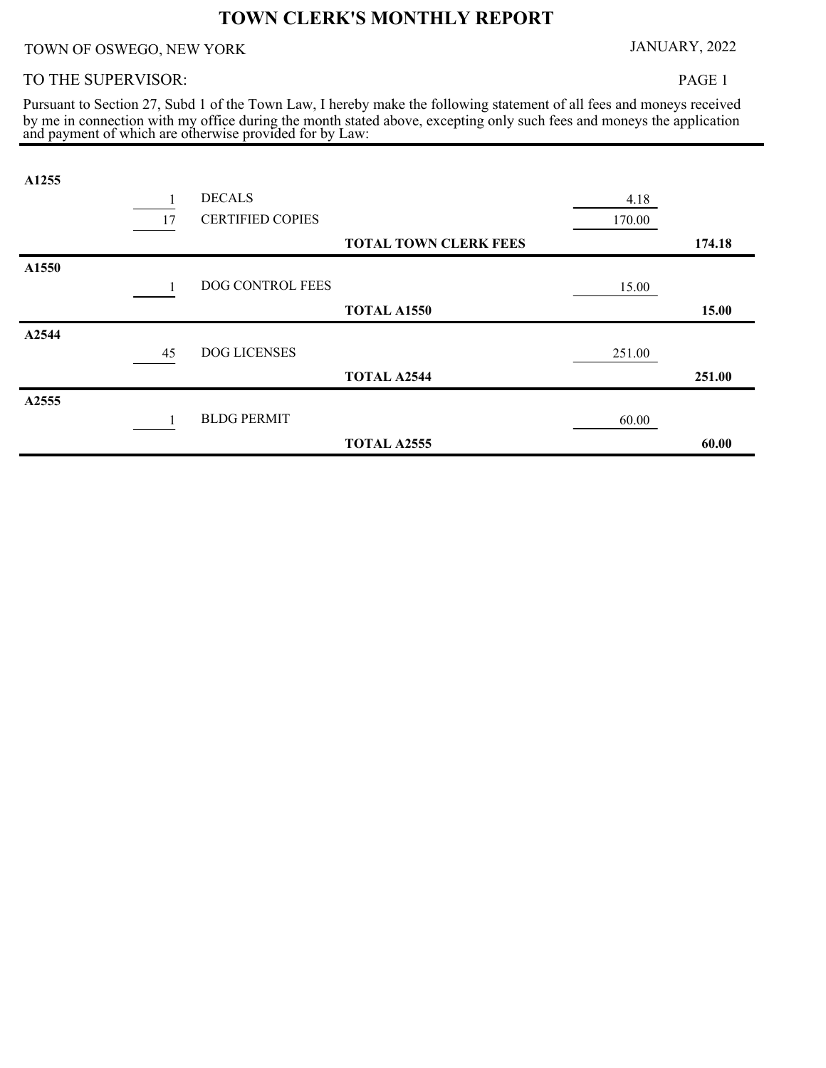## **TOWN CLERK'S MONTHLY REPORT**

TOWN OF OSWEGO, NEW YORK JANUARY, 2022

## TO THE SUPERVISOR:

PAGE 1

and payment of which are otherwise provided for by Law: by me in connection with my office during the month stated above, excepting only such fees and moneys the application Pursuant to Section 27, Subd 1 of the Town Law, I hereby make the following statement of all fees and moneys received

| A1255 |    |                         |                              |        |        |
|-------|----|-------------------------|------------------------------|--------|--------|
|       |    | <b>DECALS</b>           |                              | 4.18   |        |
|       | 17 | <b>CERTIFIED COPIES</b> |                              | 170.00 |        |
|       |    |                         | <b>TOTAL TOWN CLERK FEES</b> |        | 174.18 |
| A1550 |    |                         |                              |        |        |
|       |    | DOG CONTROL FEES        |                              | 15.00  |        |
|       |    |                         | <b>TOTAL A1550</b>           |        | 15.00  |
| A2544 |    |                         |                              |        |        |
|       | 45 | DOG LICENSES            |                              | 251.00 |        |
|       |    |                         | <b>TOTAL A2544</b>           |        | 251.00 |
| A2555 |    |                         |                              |        |        |
|       |    | <b>BLDG PERMIT</b>      |                              | 60.00  |        |
|       |    |                         | <b>TOTAL A2555</b>           |        | 60.00  |